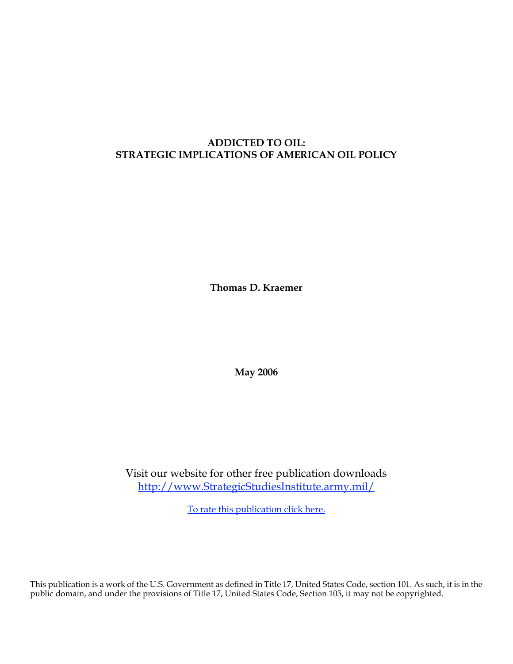# **ADDICTED TO OIL: STRATEGIC IMPLICATIONS OF AMERICAN OIL POLICY**

**Thomas D. Kraemer**

**May 2006**

Visit our website for other free publication downloads <http://www.StrategicStudiesInstitute.army.mil>/

[To rate this publication click here.](http://www.strategicstudiesinstitute.army.mil/pubs/display.cfm?pubID=705)

This publication is a work of the U.S. Government as defined in Title 17, United States Code, section 101. As such, it is in the public domain, and under the provisions of Title 17, United States Code, Section 105, it may not be copyrighted.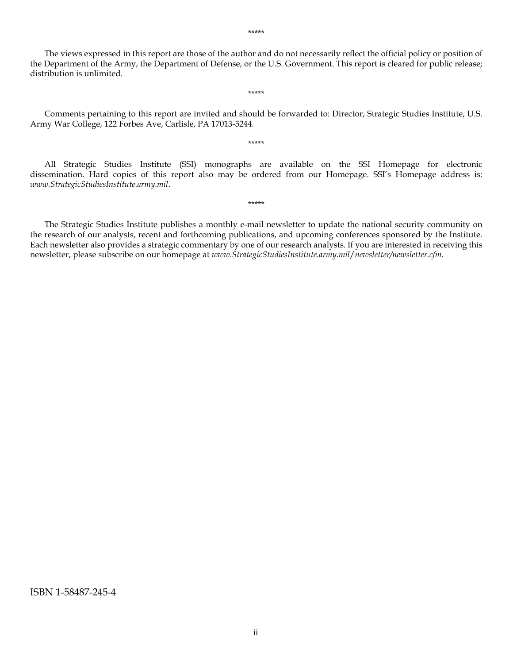The views expressed in this report are those of the author and do not necessarily reflect the official policy or position of the Department of the Army, the Department of Defense, or the U.S. Government. This report is cleared for public release; distribution is unlimited.

\*\*\*\*\*

Comments pertaining to this report are invited and should be forwarded to: Director, Strategic Studies Institute, U.S. Army War College, 122 Forbes Ave, Carlisle, PA 17013-5244.

\*\*\*\*\*

All Strategic Studies Institute (SSI) monographs are available on the SSI Homepage for electronic dissemination. Hard copies of this report also may be ordered from our Homepage. SSI's Homepage address is: *www.StrategicStudiesInstitute.army.mil*.

\*\*\*\*\*

The Strategic Studies Institute publishes a monthly e-mail newsletter to update the national security community on the research of our analysts, recent and forthcoming publications, and upcoming conferences sponsored by the Institute. Each newsletter also provides a strategic commentary by one of our research analysts. If you are interested in receiving this newsletter, please subscribe on our homepage at *www.StrategicStudiesInstitute.army.mil*/*newsletter/newsletter.cfm*.

ISBN 1-58487-245-4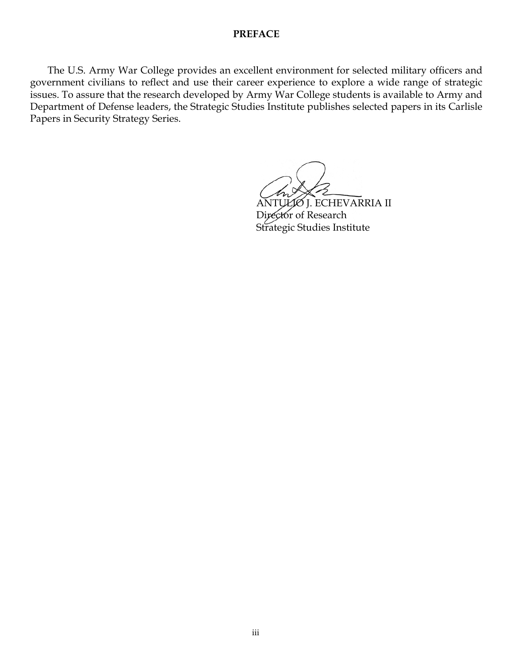### **PREFACE**

 The U.S. Army War College provides an excellent environment for selected military officers and government civilians to reflect and use their career experience to explore a wide range of strategic issues. To assure that the research developed by Army War College students is available to Army and Department of Defense leaders, the Strategic Studies Institute publishes selected papers in its Carlisle Papers in Security Strategy Series.

ANTULIO J. ECHEVARRIA II Director of Research Strategic Studies Institute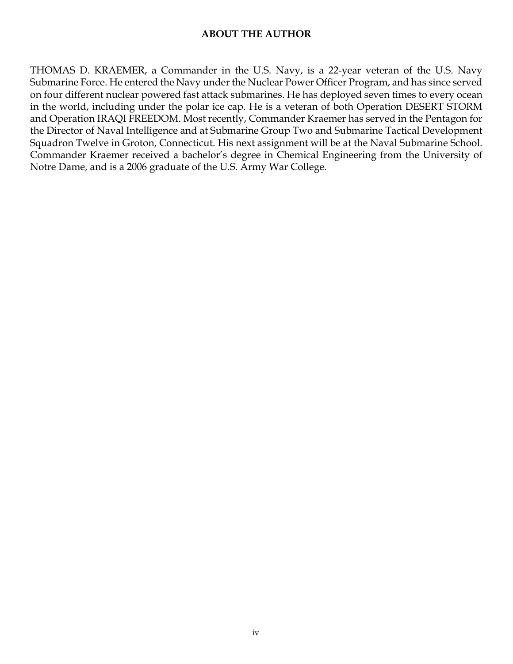# **ABOUT THE AUTHOR**

THOMAS D. KRAEMER, a Commander in the U.S. Navy, is a 22-year veteran of the U.S. Navy Submarine Force. He entered the Navy under the Nuclear Power Officer Program, and has since served on four different nuclear powered fast attack submarines. He has deployed seven times to every ocean in the world, including under the polar ice cap. He is a veteran of both Operation DESERT STORM and Operation IRAQI FREEDOM. Most recently, Commander Kraemer has served in the Pentagon for the Director of Naval Intelligence and at Submarine Group Two and Submarine Tactical Development Squadron Twelve in Groton, Connecticut. His next assignment will be at the Naval Submarine School. Commander Kraemer received a bachelor's degree in Chemical Engineering from the University of Notre Dame, and is a 2006 graduate of the U.S. Army War College.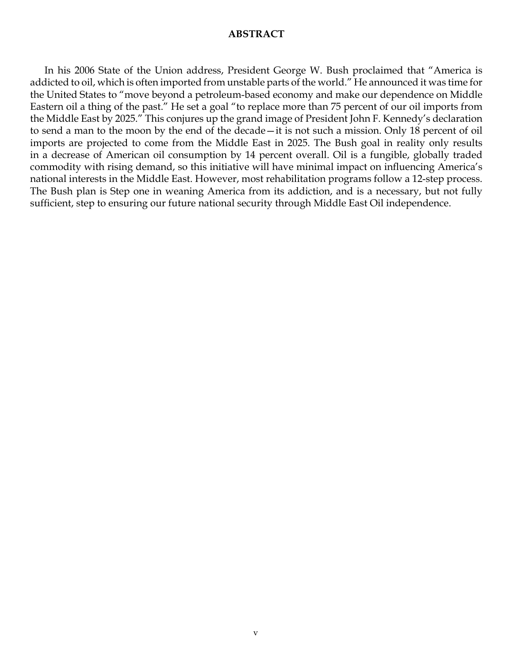### **ABSTRACT**

In his 2006 State of the Union address, President George W. Bush proclaimed that "America is addicted to oil, which is often imported from unstable parts of the world." He announced it was time for the United States to "move beyond a petroleum-based economy and make our dependence on Middle Eastern oil a thing of the past." He set a goal "to replace more than 75 percent of our oil imports from the Middle East by 2025." This conjures up the grand image of President John F. Kennedy's declaration to send a man to the moon by the end of the decade—it is not such a mission. Only 18 percent of oil imports are projected to come from the Middle East in 2025. The Bush goal in reality only results in a decrease of American oil consumption by 14 percent overall. Oil is a fungible, globally traded commodity with rising demand, so this initiative will have minimal impact on influencing America's national interests in the Middle East. However, most rehabilitation programs follow a 12-step process. The Bush plan is Step one in weaning America from its addiction, and is a necessary, but not fully sufficient, step to ensuring our future national security through Middle East Oil independence.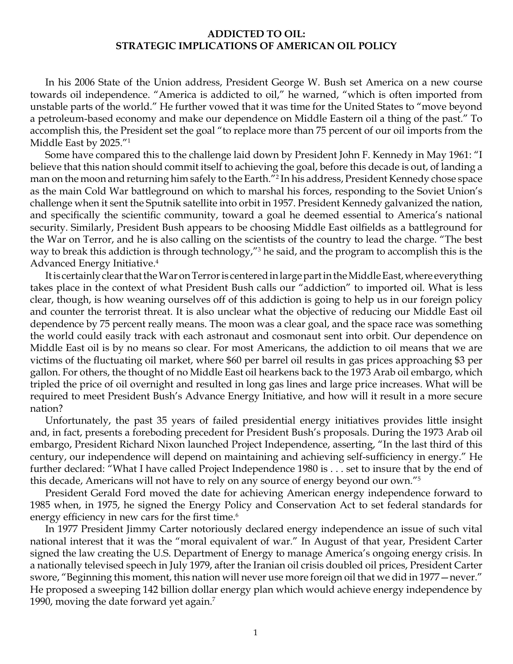## **Addicted to oil: strategic implications of american oil policy**

In his 2006 State of the Union address, President George W. Bush set America on a new course towards oil independence. "America is addicted to oil," he warned, "which is often imported from unstable parts of the world." He further vowed that it was time for the United States to "move beyond a petroleum-based economy and make our dependence on Middle Eastern oil a thing of the past." To accomplish this, the President set the goal "to replace more than 75 percent of our oil imports from the Middle East by 2025."1

Some have compared this to the challenge laid down by President John F. Kennedy in May 1961: "I believe that this nation should commit itself to achieving the goal, before this decade is out, of landing a man on the moon and returning him safely to the Earth."2 In his address, President Kennedy chose space as the main Cold War battleground on which to marshal his forces, responding to the Soviet Union's challenge when it sent the Sputnik satellite into orbit in 1957. President Kennedy galvanized the nation, and specifically the scientific community, toward a goal he deemed essential to America's national security. Similarly, President Bush appears to be choosing Middle East oilfields as a battleground for the War on Terror, and he is also calling on the scientists of the country to lead the charge. "The best way to break this addiction is through technology,"3 he said, and the program to accomplish this is the Advanced Energy Initiative.4

It is certainly clear that the War on Terror is centered in large part in the Middle East, where everything takes place in the context of what President Bush calls our "addiction" to imported oil. What is less clear, though, is how weaning ourselves off of this addiction is going to help us in our foreign policy and counter the terrorist threat. It is also unclear what the objective of reducing our Middle East oil dependence by 75 percent really means. The moon was a clear goal, and the space race was something the world could easily track with each astronaut and cosmonaut sent into orbit. Our dependence on Middle East oil is by no means so clear. For most Americans, the addiction to oil means that we are victims of the fluctuating oil market, where \$60 per barrel oil results in gas prices approaching \$3 per gallon. For others, the thought of no Middle East oil hearkens back to the 1973 Arab oil embargo, which tripled the price of oil overnight and resulted in long gas lines and large price increases. What will be required to meet President Bush's Advance Energy Initiative, and how will it result in a more secure nation?

Unfortunately, the past 35 years of failed presidential energy initiatives provides little insight and, in fact, presents a foreboding precedent for President Bush's proposals. During the 1973 Arab oil embargo, President Richard Nixon launched Project Independence, asserting, "In the last third of this century, our independence will depend on maintaining and achieving self-sufficiency in energy." He further declared: "What I have called Project Independence 1980 is . . . set to insure that by the end of this decade, Americans will not have to rely on any source of energy beyond our own."<sup>5</sup>

President Gerald Ford moved the date for achieving American energy independence forward to 1985 when, in 1975, he signed the Energy Policy and Conservation Act to set federal standards for energy efficiency in new cars for the first time.<sup>6</sup>

In 1977 President Jimmy Carter notoriously declared energy independence an issue of such vital national interest that it was the "moral equivalent of war." In August of that year, President Carter signed the law creating the U.S. Department of Energy to manage America's ongoing energy crisis. In a nationally televised speech in July 1979, after the Iranian oil crisis doubled oil prices, President Carter swore, "Beginning this moment, this nation will never use more foreign oil that we did in 1977—never." He proposed a sweeping 142 billion dollar energy plan which would achieve energy independence by 1990, moving the date forward yet again.<sup>7</sup>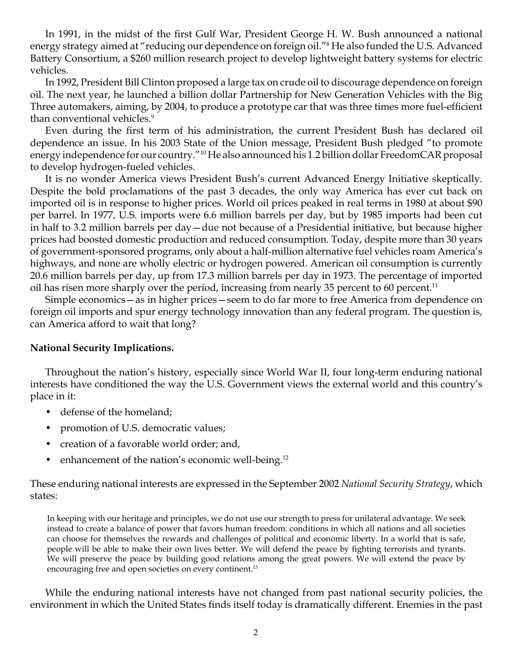In 1991, in the midst of the first Gulf War, President George H. W. Bush announced a national energy strategy aimed at "reducing our dependence on foreign oil."8 He also funded the U.S. Advanced Battery Consortium, a \$260 million research project to develop lightweight battery systems for electric vehicles.

In 1992, President Bill Clinton proposed a large tax on crude oil to discourage dependence on foreign oil. The next year, he launched a billion dollar Partnership for New Generation Vehicles with the Big Three automakers, aiming, by 2004, to produce a prototype car that was three times more fuel-efficient than conventional vehicles.<sup>9</sup>

Even during the first term of his administration, the current President Bush has declared oil dependence an issue. In his 2003 State of the Union message, President Bush pledged "to promote energy independence for our country."10 He also announced his 1.2 billion dollar FreedomCAR proposal to develop hydrogen-fueled vehicles.

It is no wonder America views President Bush's current Advanced Energy Initiative skeptically. Despite the bold proclamations of the past 3 decades, the only way America has ever cut back on imported oil is in response to higher prices. World oil prices peaked in real terms in 1980 at about \$90 per barrel. In 1977, U.S. imports were 6.6 million barrels per day, but by 1985 imports had been cut in half to 3.2 million barrels per day—due not because of a Presidential initiative, but because higher prices had boosted domestic production and reduced consumption. Today, despite more than 30 years of government-sponsored programs, only about a half-million alternative fuel vehicles roam America's highways, and none are wholly electric or hydrogen powered. American oil consumption is currently 20.6 million barrels per day, up from 17.3 million barrels per day in 1973. The percentage of imported oil has risen more sharply over the period, increasing from nearly 35 percent to 60 percent.<sup>11</sup>

Simple economics—as in higher prices—seem to do far more to free America from dependence on foreign oil imports and spur energy technology innovation than any federal program. The question is, can America afford to wait that long?

# **National Security Implications.**

Throughout the nation's history, especially since World War II, four long-term enduring national interests have conditioned the way the U.S. Government views the external world and this country's place in it:

- defense of the homeland;
- promotion of U.S. democratic values;
- creation of a favorable world order; and,
- enhancement of the nation's economic well-being.<sup>12</sup>

These enduring national interests are expressed in the September 2002 *National Security Strategy*, which states:

In keeping with our heritage and principles, we do not use our strength to press for unilateral advantage. We seek instead to create a balance of power that favors human freedom: conditions in which all nations and all societies can choose for themselves the rewards and challenges of political and economic liberty. In a world that is safe, people will be able to make their own lives better. We will defend the peace by fighting terrorists and tyrants. We will preserve the peace by building good relations among the great powers. We will extend the peace by encouraging free and open societies on every continent.<sup>13</sup>

While the enduring national interests have not changed from past national security policies, the environment in which the United States finds itself today is dramatically different. Enemies in the past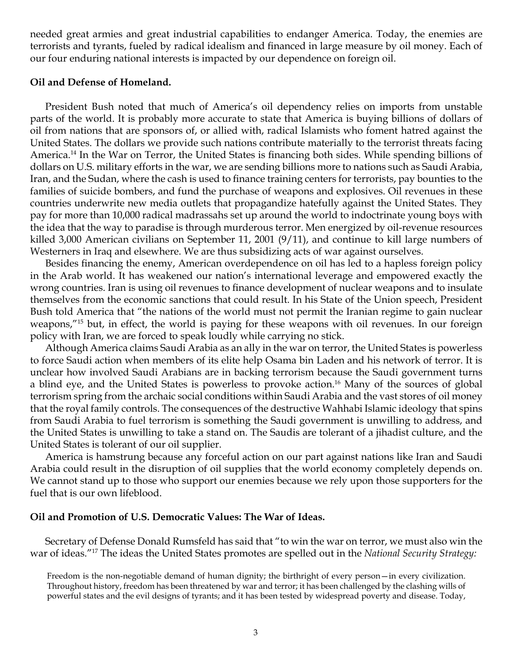needed great armies and great industrial capabilities to endanger America. Today, the enemies are terrorists and tyrants, fueled by radical idealism and financed in large measure by oil money. Each of our four enduring national interests is impacted by our dependence on foreign oil.

#### **Oil and Defense of Homeland.**

President Bush noted that much of America's oil dependency relies on imports from unstable parts of the world. It is probably more accurate to state that America is buying billions of dollars of oil from nations that are sponsors of, or allied with, radical Islamists who foment hatred against the United States. The dollars we provide such nations contribute materially to the terrorist threats facing America.14 In the War on Terror, the United States is financing both sides. While spending billions of dollars on U.S. military efforts in the war, we are sending billions more to nations such as Saudi Arabia, Iran, and the Sudan, where the cash is used to finance training centers for terrorists, pay bounties to the families of suicide bombers, and fund the purchase of weapons and explosives. Oil revenues in these countries underwrite new media outlets that propagandize hatefully against the United States. They pay for more than 10,000 radical madrassahs set up around the world to indoctrinate young boys with the idea that the way to paradise is through murderous terror. Men energized by oil-revenue resources killed 3,000 American civilians on September 11, 2001 (9/11), and continue to kill large numbers of Westerners in Iraq and elsewhere. We are thus subsidizing acts of war against ourselves.

Besides financing the enemy, American overdependence on oil has led to a hapless foreign policy in the Arab world. It has weakened our nation's international leverage and empowered exactly the wrong countries. Iran is using oil revenues to finance development of nuclear weapons and to insulate themselves from the economic sanctions that could result. In his State of the Union speech, President Bush told America that "the nations of the world must not permit the Iranian regime to gain nuclear weapons,"15 but, in effect, the world is paying for these weapons with oil revenues. In our foreign policy with Iran, we are forced to speak loudly while carrying no stick.

Although America claims Saudi Arabia as an ally in the war on terror, the United States is powerless to force Saudi action when members of its elite help Osama bin Laden and his network of terror. It is unclear how involved Saudi Arabians are in backing terrorism because the Saudi government turns a blind eye, and the United States is powerless to provoke action.<sup>16</sup> Many of the sources of global terrorism spring from the archaic social conditions within Saudi Arabia and the vast stores of oil money that the royal family controls. The consequences of the destructive Wahhabi Islamic ideology that spins from Saudi Arabia to fuel terrorism is something the Saudi government is unwilling to address, and the United States is unwilling to take a stand on. The Saudis are tolerant of a jihadist culture, and the United States is tolerant of our oil supplier.

America is hamstrung because any forceful action on our part against nations like Iran and Saudi Arabia could result in the disruption of oil supplies that the world economy completely depends on. We cannot stand up to those who support our enemies because we rely upon those supporters for the fuel that is our own lifeblood.

#### **Oil and Promotion of U.S. Democratic Values: The War of Ideas.**

Secretary of Defense Donald Rumsfeld has said that "to win the war on terror, we must also win the war of ideas."17 The ideas the United States promotes are spelled out in the *National Security Strategy:*

Freedom is the non-negotiable demand of human dignity; the birthright of every person—in every civilization. Throughout history, freedom has been threatened by war and terror; it has been challenged by the clashing wills of powerful states and the evil designs of tyrants; and it has been tested by widespread poverty and disease. Today,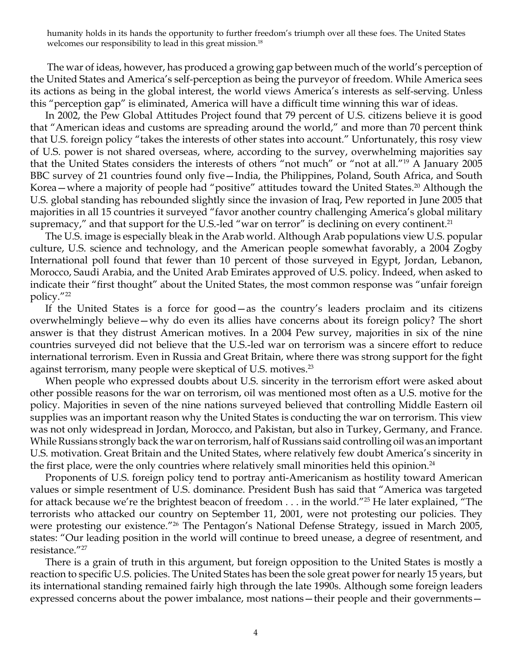humanity holds in its hands the opportunity to further freedom's triumph over all these foes. The United States welcomes our responsibility to lead in this great mission.<sup>18</sup>

 The war of ideas, however, has produced a growing gap between much of the world's perception of the United States and America's self-perception as being the purveyor of freedom. While America sees its actions as being in the global interest, the world views America's interests as self-serving. Unless this "perception gap" is eliminated, America will have a difficult time winning this war of ideas.

In 2002, the Pew Global Attitudes Project found that 79 percent of U.S. citizens believe it is good that "American ideas and customs are spreading around the world," and more than 70 percent think that U.S. foreign policy "takes the interests of other states into account." Unfortunately, this rosy view of U.S. power is not shared overseas, where, according to the survey, overwhelming majorities say that the United States considers the interests of others "not much" or "not at all."19 A January 2005 BBC survey of 21 countries found only five—India, the Philippines, Poland, South Africa, and South Korea—where a majority of people had "positive" attitudes toward the United States.<sup>20</sup> Although the U.S. global standing has rebounded slightly since the invasion of Iraq, Pew reported in June 2005 that majorities in all 15 countries it surveyed "favor another country challenging America's global military supremacy," and that support for the U.S.-led "war on terror" is declining on every continent.<sup>21</sup>

The U.S. image is especially bleak in the Arab world. Although Arab populations view U.S. popular culture, U.S. science and technology, and the American people somewhat favorably, a 2004 Zogby International poll found that fewer than 10 percent of those surveyed in Egypt, Jordan, Lebanon, Morocco, Saudi Arabia, and the United Arab Emirates approved of U.S. policy. Indeed, when asked to indicate their "first thought" about the United States, the most common response was "unfair foreign policy."22

If the United States is a force for good—as the country's leaders proclaim and its citizens overwhelmingly believe—why do even its allies have concerns about its foreign policy? The short answer is that they distrust American motives. In a 2004 Pew survey, majorities in six of the nine countries surveyed did not believe that the U.S.-led war on terrorism was a sincere effort to reduce international terrorism. Even in Russia and Great Britain, where there was strong support for the fight against terrorism, many people were skeptical of U.S. motives.<sup>23</sup>

When people who expressed doubts about U.S. sincerity in the terrorism effort were asked about other possible reasons for the war on terrorism, oil was mentioned most often as a U.S. motive for the policy. Majorities in seven of the nine nations surveyed believed that controlling Middle Eastern oil supplies was an important reason why the United States is conducting the war on terrorism. This view was not only widespread in Jordan, Morocco, and Pakistan, but also in Turkey, Germany, and France. While Russians strongly back the war on terrorism, half of Russians said controlling oil was an important U.S. motivation. Great Britain and the United States, where relatively few doubt America's sincerity in the first place, were the only countries where relatively small minorities held this opinion.<sup>24</sup>

Proponents of U.S. foreign policy tend to portray anti-Americanism as hostility toward American values or simple resentment of U.S. dominance. President Bush has said that "America was targeted for attack because we're the brightest beacon of freedom . . . in the world."<sup>25</sup> He later explained, "The terrorists who attacked our country on September 11, 2001, were not protesting our policies. They were protesting our existence."26 The Pentagon's National Defense Strategy, issued in March 2005, states: "Our leading position in the world will continue to breed unease, a degree of resentment, and resistance."27

There is a grain of truth in this argument, but foreign opposition to the United States is mostly a reaction to specific U.S. policies. The United States has been the sole great power for nearly 15 years, but its international standing remained fairly high through the late 1990s. Although some foreign leaders expressed concerns about the power imbalance, most nations—their people and their governments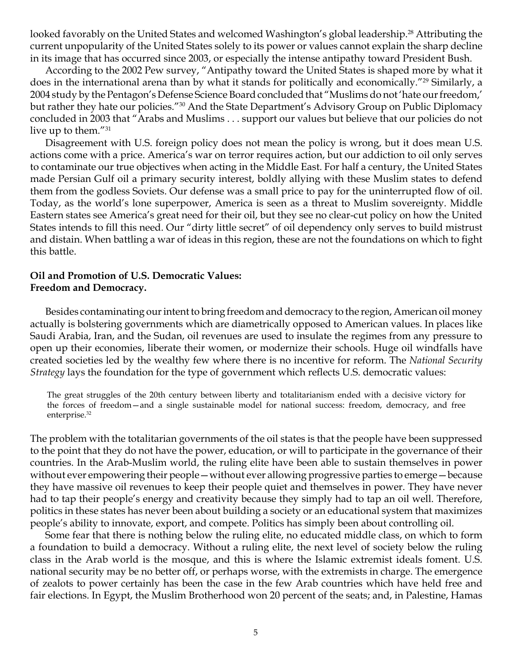looked favorably on the United States and welcomed Washington's global leadership.<sup>28</sup> Attributing the current unpopularity of the United States solely to its power or values cannot explain the sharp decline in its image that has occurred since 2003, or especially the intense antipathy toward President Bush.

According to the 2002 Pew survey, "Antipathy toward the United States is shaped more by what it does in the international arena than by what it stands for politically and economically."<sup>29</sup> Similarly, a 2004 study by the Pentagon's Defense Science Board concluded that "Muslims do not 'hate our freedom,' but rather they hate our policies."30 And the State Department's Advisory Group on Public Diplomacy concluded in 2003 that "Arabs and Muslims . . . support our values but believe that our policies do not live up to them."31

Disagreement with U.S. foreign policy does not mean the policy is wrong, but it does mean U.S. actions come with a price. America's war on terror requires action, but our addiction to oil only serves to contaminate our true objectives when acting in the Middle East. For half a century, the United States made Persian Gulf oil a primary security interest, boldly allying with these Muslim states to defend them from the godless Soviets. Our defense was a small price to pay for the uninterrupted flow of oil. Today, as the world's lone superpower, America is seen as a threat to Muslim sovereignty. Middle Eastern states see America's great need for their oil, but they see no clear-cut policy on how the United States intends to fill this need. Our "dirty little secret" of oil dependency only serves to build mistrust and distain. When battling a war of ideas in this region, these are not the foundations on which to fight this battle.

## **Oil and Promotion of U.S. Democratic Values: Freedom and Democracy.**

Besides contaminating our intent to bring freedom and democracy to the region, American oil money actually is bolstering governments which are diametrically opposed to American values. In places like Saudi Arabia, Iran, and the Sudan, oil revenues are used to insulate the regimes from any pressure to open up their economies, liberate their women, or modernize their schools. Huge oil windfalls have created societies led by the wealthy few where there is no incentive for reform. The *National Security Strategy* lays the foundation for the type of government which reflects U.S. democratic values:

The great struggles of the 20th century between liberty and totalitarianism ended with a decisive victory for the forces of freedom—and a single sustainable model for national success: freedom, democracy, and free enterprise.<sup>32</sup>

The problem with the totalitarian governments of the oil states is that the people have been suppressed to the point that they do not have the power, education, or will to participate in the governance of their countries. In the Arab-Muslim world, the ruling elite have been able to sustain themselves in power without ever empowering their people—without ever allowing progressive parties to emerge—because they have massive oil revenues to keep their people quiet and themselves in power. They have never had to tap their people's energy and creativity because they simply had to tap an oil well. Therefore, politics in these states has never been about building a society or an educational system that maximizes people's ability to innovate, export, and compete. Politics has simply been about controlling oil.

Some fear that there is nothing below the ruling elite, no educated middle class, on which to form a foundation to build a democracy. Without a ruling elite, the next level of society below the ruling class in the Arab world is the mosque, and this is where the Islamic extremist ideals foment. U.S. national security may be no better off, or perhaps worse, with the extremists in charge. The emergence of zealots to power certainly has been the case in the few Arab countries which have held free and fair elections. In Egypt, the Muslim Brotherhood won 20 percent of the seats; and, in Palestine, Hamas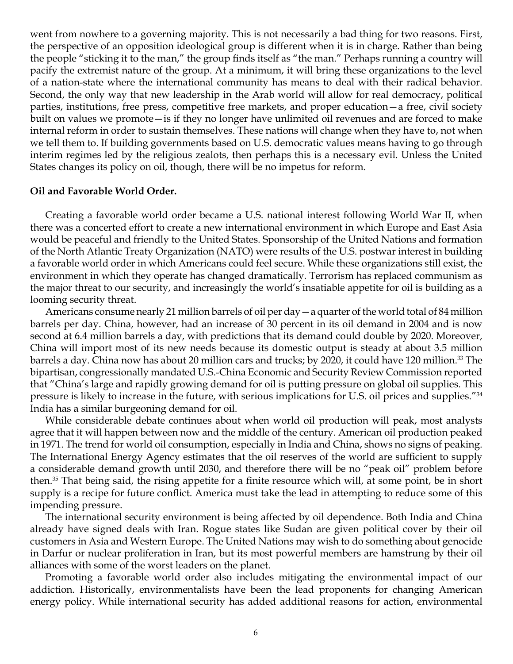went from nowhere to a governing majority. This is not necessarily a bad thing for two reasons. First, the perspective of an opposition ideological group is different when it is in charge. Rather than being the people "sticking it to the man," the group finds itself as "the man." Perhaps running a country will pacify the extremist nature of the group. At a minimum, it will bring these organizations to the level of a nation-state where the international community has means to deal with their radical behavior. Second, the only way that new leadership in the Arab world will allow for real democracy, political parties, institutions, free press, competitive free markets, and proper education—a free, civil society built on values we promote—is if they no longer have unlimited oil revenues and are forced to make internal reform in order to sustain themselves. These nations will change when they have to, not when we tell them to. If building governments based on U.S. democratic values means having to go through interim regimes led by the religious zealots, then perhaps this is a necessary evil. Unless the United States changes its policy on oil, though, there will be no impetus for reform.

#### **Oil and Favorable World Order.**

Creating a favorable world order became a U.S. national interest following World War II, when there was a concerted effort to create a new international environment in which Europe and East Asia would be peaceful and friendly to the United States. Sponsorship of the United Nations and formation of the North Atlantic Treaty Organization (NATO) were results of the U.S. postwar interest in building a favorable world order in which Americans could feel secure. While these organizations still exist, the environment in which they operate has changed dramatically. Terrorism has replaced communism as the major threat to our security, and increasingly the world's insatiable appetite for oil is building as a looming security threat.

Americans consume nearly 21 million barrels of oil per day—a quarter of the world total of 84 million barrels per day. China, however, had an increase of 30 percent in its oil demand in 2004 and is now second at 6.4 million barrels a day, with predictions that its demand could double by 2020. Moreover, China will import most of its new needs because its domestic output is steady at about 3.5 million barrels a day. China now has about 20 million cars and trucks; by 2020, it could have 120 million.33 The bipartisan, congressionally mandated U.S.-China Economic and Security Review Commission reported that "China's large and rapidly growing demand for oil is putting pressure on global oil supplies. This pressure is likely to increase in the future, with serious implications for U.S. oil prices and supplies."34 India has a similar burgeoning demand for oil.

While considerable debate continues about when world oil production will peak, most analysts agree that it will happen between now and the middle of the century. American oil production peaked in 1971. The trend for world oil consumption, especially in India and China, shows no signs of peaking. The International Energy Agency estimates that the oil reserves of the world are sufficient to supply a considerable demand growth until 2030, and therefore there will be no "peak oil" problem before then.35 That being said, the rising appetite for a finite resource which will, at some point, be in short supply is a recipe for future conflict. America must take the lead in attempting to reduce some of this impending pressure.

The international security environment is being affected by oil dependence. Both India and China already have signed deals with Iran. Rogue states like Sudan are given political cover by their oil customers in Asia and Western Europe. The United Nations may wish to do something about genocide in Darfur or nuclear proliferation in Iran, but its most powerful members are hamstrung by their oil alliances with some of the worst leaders on the planet.

Promoting a favorable world order also includes mitigating the environmental impact of our addiction. Historically, environmentalists have been the lead proponents for changing American energy policy. While international security has added additional reasons for action, environmental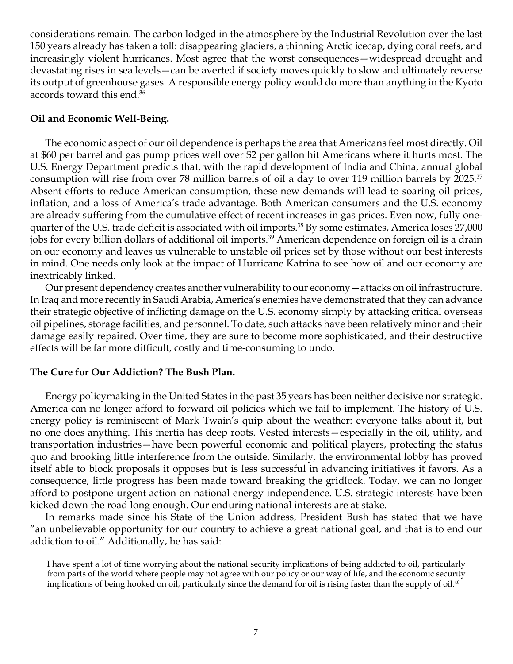considerations remain. The carbon lodged in the atmosphere by the Industrial Revolution over the last 150 years already has taken a toll: disappearing glaciers, a thinning Arctic icecap, dying coral reefs, and increasingly violent hurricanes. Most agree that the worst consequences—widespread drought and devastating rises in sea levels—can be averted if society moves quickly to slow and ultimately reverse its output of greenhouse gases. A responsible energy policy would do more than anything in the Kyoto accords toward this end.<sup>36</sup>

# **Oil and Economic Well-Being.**

The economic aspect of our oil dependence is perhaps the area that Americans feel most directly. Oil at \$60 per barrel and gas pump prices well over \$2 per gallon hit Americans where it hurts most. The U.S. Energy Department predicts that, with the rapid development of India and China, annual global consumption will rise from over 78 million barrels of oil a day to over 119 million barrels by 2025.37 Absent efforts to reduce American consumption, these new demands will lead to soaring oil prices, inflation, and a loss of America's trade advantage. Both American consumers and the U.S. economy are already suffering from the cumulative effect of recent increases in gas prices. Even now, fully onequarter of the U.S. trade deficit is associated with oil imports.<sup>38</sup> By some estimates, America loses 27,000 jobs for every billion dollars of additional oil imports.<sup>39</sup> American dependence on foreign oil is a drain on our economy and leaves us vulnerable to unstable oil prices set by those without our best interests in mind. One needs only look at the impact of Hurricane Katrina to see how oil and our economy are inextricably linked.

Our present dependency creates another vulnerability to our economy—attacks on oil infrastructure. In Iraq and more recently in Saudi Arabia, America's enemies have demonstrated that they can advance their strategic objective of inflicting damage on the U.S. economy simply by attacking critical overseas oil pipelines, storage facilities, and personnel. To date, such attacks have been relatively minor and their damage easily repaired. Over time, they are sure to become more sophisticated, and their destructive effects will be far more difficult, costly and time-consuming to undo.

## **The Cure for Our Addiction? The Bush Plan.**

Energy policymaking in the United States in the past 35 years has been neither decisive nor strategic. America can no longer afford to forward oil policies which we fail to implement. The history of U.S. energy policy is reminiscent of Mark Twain's quip about the weather: everyone talks about it, but no one does anything. This inertia has deep roots. Vested interests—especially in the oil, utility, and transportation industries—have been powerful economic and political players, protecting the status quo and brooking little interference from the outside. Similarly, the environmental lobby has proved itself able to block proposals it opposes but is less successful in advancing initiatives it favors. As a consequence, little progress has been made toward breaking the gridlock. Today, we can no longer afford to postpone urgent action on national energy independence. U.S. strategic interests have been kicked down the road long enough. Our enduring national interests are at stake.

In remarks made since his State of the Union address, President Bush has stated that we have "an unbelievable opportunity for our country to achieve a great national goal, and that is to end our addiction to oil." Additionally, he has said:

I have spent a lot of time worrying about the national security implications of being addicted to oil, particularly from parts of the world where people may not agree with our policy or our way of life, and the economic security implications of being hooked on oil, particularly since the demand for oil is rising faster than the supply of oil.<sup>40</sup>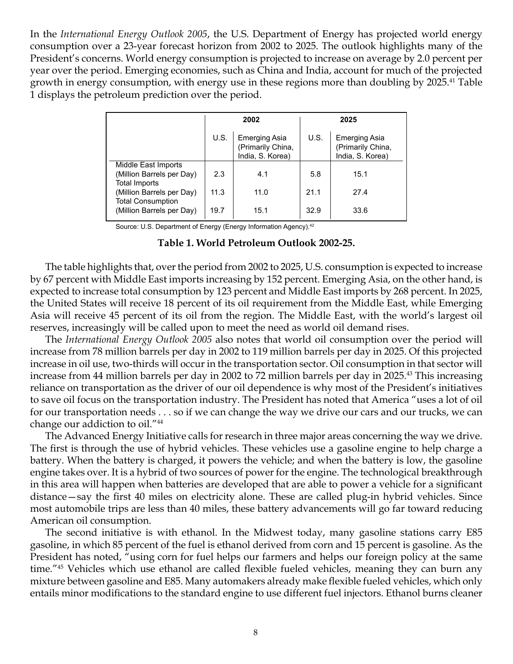In the *International Energy Outlook 2005*, the U.S. Department of Energy has projected world energy consumption over a 23-year forecast horizon from 2002 to 2025. The outlook highlights many of the President's concerns. World energy consumption is projected to increase on average by 2.0 percent per year over the period. Emerging economies, such as China and India, account for much of the projected growth in energy consumption, with energy use in these regions more than doubling by 2025.<sup>41</sup> Table 1 displays the petroleum prediction over the period.

|                                                                          | 2002 |                                                               | 2025 |                                                               |
|--------------------------------------------------------------------------|------|---------------------------------------------------------------|------|---------------------------------------------------------------|
|                                                                          | U.S. | <b>Emerging Asia</b><br>(Primarily China,<br>India, S. Korea) | U.S. | <b>Emerging Asia</b><br>(Primarily China,<br>India, S. Korea) |
| Middle East Imports<br>(Million Barrels per Day)<br><b>Total Imports</b> | 2.3  | 4.1                                                           | 5.8  | 15.1                                                          |
| (Million Barrels per Day)                                                | 11.3 | 11.0                                                          | 21.1 | 27.4                                                          |
| <b>Total Consumption</b><br>(Million Barrels per Day)                    | 19.7 | 15.1                                                          | 32.9 | 33.6                                                          |

Source: U.S. Department of Energy (Energy Information Agency).42

#### **Table 1. World Petroleum Outlook 2002-25.**

The table highlights that, over the period from 2002 to 2025, U.S. consumption is expected to increase by 67 percent with Middle East imports increasing by 152 percent. Emerging Asia, on the other hand, is expected to increase total consumption by 123 percent and Middle East imports by 268 percent. In 2025, the United States will receive 18 percent of its oil requirement from the Middle East, while Emerging Asia will receive 45 percent of its oil from the region. The Middle East, with the world's largest oil reserves, increasingly will be called upon to meet the need as world oil demand rises.

The *International Energy Outlook 2005* also notes that world oil consumption over the period will increase from 78 million barrels per day in 2002 to 119 million barrels per day in 2025. Of this projected increase in oil use, two-thirds will occur in the transportation sector. Oil consumption in that sector will increase from 44 million barrels per day in 2002 to 72 million barrels per day in 2025.43 This increasing reliance on transportation as the driver of our oil dependence is why most of the President's initiatives to save oil focus on the transportation industry. The President has noted that America "uses a lot of oil for our transportation needs . . . so if we can change the way we drive our cars and our trucks, we can change our addiction to oil."44

The Advanced Energy Initiative calls for research in three major areas concerning the way we drive. The first is through the use of hybrid vehicles. These vehicles use a gasoline engine to help charge a battery. When the battery is charged, it powers the vehicle; and when the battery is low, the gasoline engine takes over. It is a hybrid of two sources of power for the engine. The technological breakthrough in this area will happen when batteries are developed that are able to power a vehicle for a significant distance—say the first 40 miles on electricity alone. These are called plug-in hybrid vehicles. Since most automobile trips are less than 40 miles, these battery advancements will go far toward reducing American oil consumption.

The second initiative is with ethanol. In the Midwest today, many gasoline stations carry E85 gasoline, in which 85 percent of the fuel is ethanol derived from corn and 15 percent is gasoline. As the President has noted, "using corn for fuel helps our farmers and helps our foreign policy at the same time."45 Vehicles which use ethanol are called flexible fueled vehicles, meaning they can burn any mixture between gasoline and E85. Many automakers already make flexible fueled vehicles, which only entails minor modifications to the standard engine to use different fuel injectors. Ethanol burns cleaner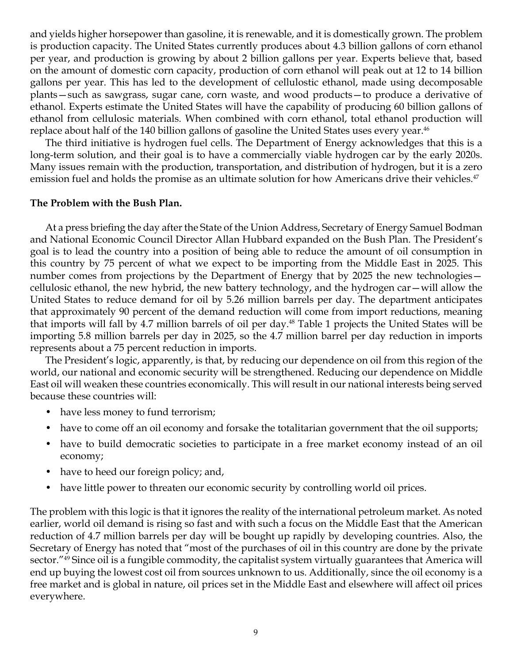and yields higher horsepower than gasoline, it is renewable, and it is domestically grown. The problem is production capacity. The United States currently produces about 4.3 billion gallons of corn ethanol per year, and production is growing by about 2 billion gallons per year. Experts believe that, based on the amount of domestic corn capacity, production of corn ethanol will peak out at 12 to 14 billion gallons per year. This has led to the development of cellulostic ethanol, made using decomposable plants—such as sawgrass, sugar cane, corn waste, and wood products—to produce a derivative of ethanol. Experts estimate the United States will have the capability of producing 60 billion gallons of ethanol from cellulosic materials. When combined with corn ethanol, total ethanol production will replace about half of the 140 billion gallons of gasoline the United States uses every year.<sup>46</sup>

The third initiative is hydrogen fuel cells. The Department of Energy acknowledges that this is a long-term solution, and their goal is to have a commercially viable hydrogen car by the early 2020s. Many issues remain with the production, transportation, and distribution of hydrogen, but it is a zero emission fuel and holds the promise as an ultimate solution for how Americans drive their vehicles.<sup>47</sup>

### **The Problem with the Bush Plan.**

At a press briefing the day after the State of the Union Address, Secretary of Energy Samuel Bodman and National Economic Council Director Allan Hubbard expanded on the Bush Plan. The President's goal is to lead the country into a position of being able to reduce the amount of oil consumption in this country by 75 percent of what we expect to be importing from the Middle East in 2025. This number comes from projections by the Department of Energy that by 2025 the new technologies cellulosic ethanol, the new hybrid, the new battery technology, and the hydrogen car—will allow the United States to reduce demand for oil by 5.26 million barrels per day. The department anticipates that approximately 90 percent of the demand reduction will come from import reductions, meaning that imports will fall by 4.7 million barrels of oil per day.<sup>48</sup> Table 1 projects the United States will be importing 5.8 million barrels per day in 2025, so the 4.7 million barrel per day reduction in imports represents about a 75 percent reduction in imports.

The President's logic, apparently, is that, by reducing our dependence on oil from this region of the world, our national and economic security will be strengthened. Reducing our dependence on Middle East oil will weaken these countries economically. This will result in our national interests being served because these countries will:

- have less money to fund terrorism;
- have to come off an oil economy and forsake the totalitarian government that the oil supports;
- have to build democratic societies to participate in a free market economy instead of an oil economy;
- have to heed our foreign policy; and,
- have little power to threaten our economic security by controlling world oil prices.

The problem with this logic is that it ignores the reality of the international petroleum market. As noted earlier, world oil demand is rising so fast and with such a focus on the Middle East that the American reduction of 4.7 million barrels per day will be bought up rapidly by developing countries. Also, the Secretary of Energy has noted that "most of the purchases of oil in this country are done by the private sector."49 Since oil is a fungible commodity, the capitalist system virtually guarantees that America will end up buying the lowest cost oil from sources unknown to us. Additionally, since the oil economy is a free market and is global in nature, oil prices set in the Middle East and elsewhere will affect oil prices everywhere.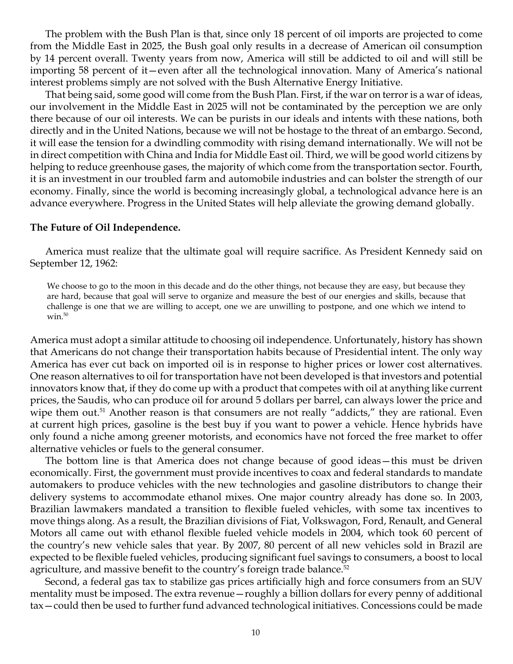The problem with the Bush Plan is that, since only 18 percent of oil imports are projected to come from the Middle East in 2025, the Bush goal only results in a decrease of American oil consumption by 14 percent overall. Twenty years from now, America will still be addicted to oil and will still be importing 58 percent of it—even after all the technological innovation. Many of America's national interest problems simply are not solved with the Bush Alternative Energy Initiative.

That being said, some good will come from the Bush Plan. First, if the war on terror is a war of ideas, our involvement in the Middle East in 2025 will not be contaminated by the perception we are only there because of our oil interests. We can be purists in our ideals and intents with these nations, both directly and in the United Nations, because we will not be hostage to the threat of an embargo. Second, it will ease the tension for a dwindling commodity with rising demand internationally. We will not be in direct competition with China and India for Middle East oil. Third, we will be good world citizens by helping to reduce greenhouse gases, the majority of which come from the transportation sector. Fourth, it is an investment in our troubled farm and automobile industries and can bolster the strength of our economy. Finally, since the world is becoming increasingly global, a technological advance here is an advance everywhere. Progress in the United States will help alleviate the growing demand globally.

#### **The Future of Oil Independence.**

America must realize that the ultimate goal will require sacrifice. As President Kennedy said on September 12, 1962:

We choose to go to the moon in this decade and do the other things, not because they are easy, but because they are hard, because that goal will serve to organize and measure the best of our energies and skills, because that challenge is one that we are willing to accept, one we are unwilling to postpone, and one which we intend to  $win.^{50}$ 

America must adopt a similar attitude to choosing oil independence. Unfortunately, history has shown that Americans do not change their transportation habits because of Presidential intent. The only way America has ever cut back on imported oil is in response to higher prices or lower cost alternatives. One reason alternatives to oil for transportation have not been developed is that investors and potential innovators know that, if they do come up with a product that competes with oil at anything like current prices, the Saudis, who can produce oil for around 5 dollars per barrel, can always lower the price and wipe them out.<sup>51</sup> Another reason is that consumers are not really "addicts," they are rational. Even at current high prices, gasoline is the best buy if you want to power a vehicle. Hence hybrids have only found a niche among greener motorists, and economics have not forced the free market to offer alternative vehicles or fuels to the general consumer.

The bottom line is that America does not change because of good ideas—this must be driven economically. First, the government must provide incentives to coax and federal standards to mandate automakers to produce vehicles with the new technologies and gasoline distributors to change their delivery systems to accommodate ethanol mixes. One major country already has done so. In 2003, Brazilian lawmakers mandated a transition to flexible fueled vehicles, with some tax incentives to move things along. As a result, the Brazilian divisions of Fiat, Volkswagon, Ford, Renault, and General Motors all came out with ethanol flexible fueled vehicle models in 2004, which took 60 percent of the country's new vehicle sales that year. By 2007, 80 percent of all new vehicles sold in Brazil are expected to be flexible fueled vehicles, producing significant fuel savings to consumers, a boost to local agriculture, and massive benefit to the country's foreign trade balance. $52$ 

Second, a federal gas tax to stabilize gas prices artificially high and force consumers from an SUV mentality must be imposed. The extra revenue—roughly a billion dollars for every penny of additional tax—could then be used to further fund advanced technological initiatives. Concessions could be made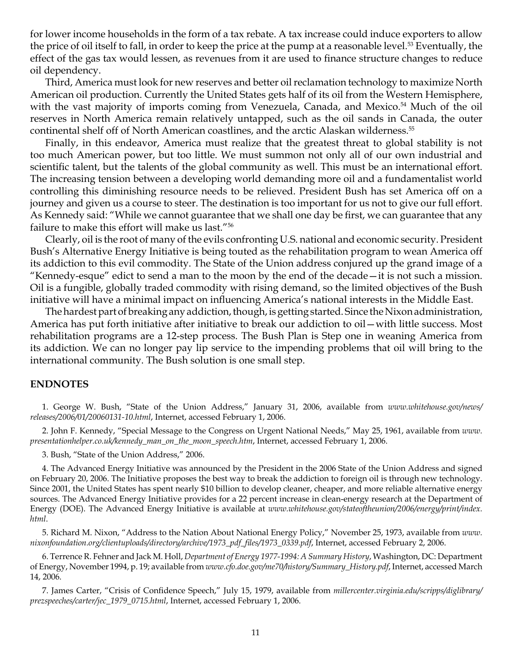for lower income households in the form of a tax rebate. A tax increase could induce exporters to allow the price of oil itself to fall, in order to keep the price at the pump at a reasonable level.<sup>53</sup> Eventually, the effect of the gas tax would lessen, as revenues from it are used to finance structure changes to reduce oil dependency.

Third, America must look for new reserves and better oil reclamation technology to maximize North American oil production. Currently the United States gets half of its oil from the Western Hemisphere, with the vast majority of imports coming from Venezuela, Canada, and Mexico.<sup>54</sup> Much of the oil reserves in North America remain relatively untapped, such as the oil sands in Canada, the outer continental shelf off of North American coastlines, and the arctic Alaskan wilderness.55

Finally, in this endeavor, America must realize that the greatest threat to global stability is not too much American power, but too little. We must summon not only all of our own industrial and scientific talent, but the talents of the global community as well. This must be an international effort. The increasing tension between a developing world demanding more oil and a fundamentalist world controlling this diminishing resource needs to be relieved. President Bush has set America off on a journey and given us a course to steer. The destination is too important for us not to give our full effort. As Kennedy said: "While we cannot guarantee that we shall one day be first, we can guarantee that any failure to make this effort will make us last."56

Clearly, oil is the root of many of the evils confronting U.S. national and economic security. President Bush's Alternative Energy Initiative is being touted as the rehabilitation program to wean America off its addiction to this evil commodity. The State of the Union address conjured up the grand image of a "Kennedy-esque" edict to send a man to the moon by the end of the decade—it is not such a mission. Oil is a fungible, globally traded commodity with rising demand, so the limited objectives of the Bush initiative will have a minimal impact on influencing America's national interests in the Middle East.

The hardest part of breaking any addiction, though, is getting started. Since the Nixon administration, America has put forth initiative after initiative to break our addiction to oil—with little success. Most rehabilitation programs are a 12-step process. The Bush Plan is Step one in weaning America from its addiction. We can no longer pay lip service to the impending problems that oil will bring to the international community. The Bush solution is one small step.

#### **ENDNOTES**

1. George W. Bush, "State of the Union Address," January 31, 2006, available from *www.whitehouse.gov/news/ releases/2006/01/20060131-10.html*, Internet, accessed February 1, 2006.

2. John F. Kennedy, "Special Message to the Congress on Urgent National Needs," May 25, 1961, available from *www. presentationhelper.co.uk/kennedy\_man\_on\_the\_moon\_speech.htm*, Internet, accessed February 1, 2006.

3. Bush, "State of the Union Address," 2006.

4. The Advanced Energy Initiative was announced by the President in the 2006 State of the Union Address and signed on February 20, 2006. The Initiative proposes the best way to break the addiction to foreign oil is through new technology. Since 2001, the United States has spent nearly \$10 billion to develop cleaner, cheaper, and more reliable alternative energy sources. The Advanced Energy Initiative provides for a 22 percent increase in clean-energy research at the Department of Energy (DOE). The Advanced Energy Initiative is available at *www.whitehouse.gov/stateoftheunion/2006/energy/print/index. html*.

5. Richard M. Nixon, "Address to the Nation About National Energy Policy," November 25, 1973, available from *www. nixonfoundation.org/clientuploads/directory/archive/1973\_pdf\_files/1973\_0339.pdf*, Internet, accessed February 2, 2006.

6. Terrence R. Fehner and Jack M. Holl, *Department of Energy 1977-1994: A Summary History*, Washington, DC: Department of Energy, November 1994, p. 19; available from *www.cfo.doe.gov/me70/history/Summary\_History.pdf*, Internet, accessed March 14, 2006.

7. James Carter, "Crisis of Confidence Speech," July 15, 1979, available from *millercenter.virginia.edu/scripps/diglibrary/ prezspeeches/carter/jec\_1979\_0715.html*, Internet, accessed February 1, 2006.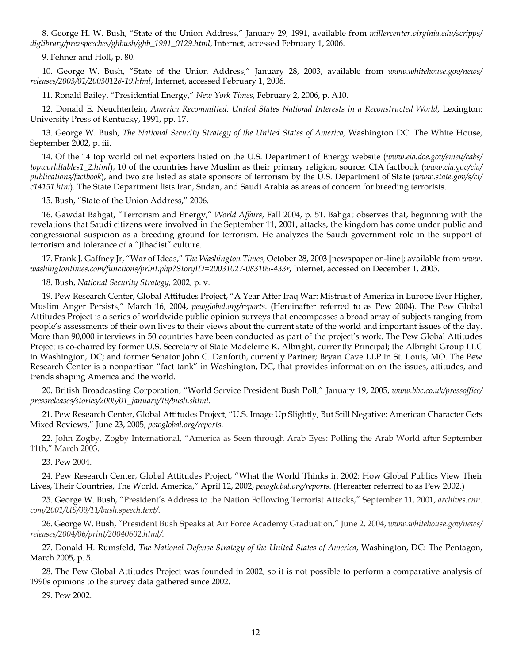8. George H. W. Bush, "State of the Union Address," January 29, 1991, available from *millercenter.virginia.edu/scripps/ diglibrary/prezspeeches/ghbush/ghb\_1991\_0129.html*, Internet, accessed February 1, 2006.

9. Fehner and Holl, p. 80.

10. George W. Bush, "State of the Union Address," January 28, 2003, available from *www.whitehouse.gov/news/ releases/2003/01/20030128-19.html*, Internet, accessed February 1, 2006.

11. Ronald Bailey, "Presidential Energy," *New York Times*, February 2, 2006, p. A10.

12. Donald E. Neuchterlein, *America Recommitted: United States National Interests in a Reconstructed World*, Lexington: University Press of Kentucky, 1991, pp. 17.

13. George W. Bush, *The National Security Strategy of the United States of America,* Washington DC: The White House, September 2002, p. iii.

14. Of the 14 top world oil net exporters listed on the U.S. Department of Energy website (*www.eia.doe.gov/emeu/cabs/ topworldtables1\_2.html*), 10 of the countries have Muslim as their primary religion, source: CIA factbook (*www.cia.gov/cia/ publications/factbook*), and two are listed as state sponsors of terrorism by the U.S. Department of State (*www.state.gov/s/ct/ c14151.htm*). The State Department lists Iran, Sudan, and Saudi Arabia as areas of concern for breeding terrorists.

15. Bush, "State of the Union Address," 2006.

16. Gawdat Bahgat, "Terrorism and Energy," *World Affairs*, Fall 2004, p. 51. Bahgat observes that, beginning with the revelations that Saudi citizens were involved in the September 11, 2001, attacks, the kingdom has come under public and congressional suspicion as a breeding ground for terrorism. He analyzes the Saudi government role in the support of terrorism and tolerance of a "Jihadist" culture.

17. Frank J. Gaffney Jr, "War of Ideas," *The Washington Times*, October 28, 2003 [newspaper on-line]; available from *www. washingtontimes.com/functions/print.php?StoryID=20031027-083105-433r*, Internet, accessed on December 1, 2005.

18. Bush, *National Security Strategy,* 2002, p. v.

19. Pew Research Center, Global Attitudes Project, "A Year After Iraq War: Mistrust of America in Europe Ever Higher, Muslim Anger Persists," March 16, 2004, *pewglobal.org/reports*. (Hereinafter referred to as Pew 2004). The Pew Global Attitudes Project is a series of worldwide public opinion surveys that encompasses a broad array of subjects ranging from people's assessments of their own lives to their views about the current state of the world and important issues of the day. More than 90,000 interviews in 50 countries have been conducted as part of the project's work. The Pew Global Attitudes Project is co-chaired by former U.S. Secretary of State Madeleine K. Albright, currently Principal; the Albright Group LLC in Washington, DC; and former Senator John C. Danforth, currently Partner; Bryan Cave LLP in St. Louis, MO. The Pew Research Center is a nonpartisan "fact tank" in Washington, DC, that provides information on the issues, attitudes, and trends shaping America and the world.

20. British Broadcasting Corporation, "World Service President Bush Poll," January 19, 2005, *www.bbc.co.uk/pressoffice/ pressreleases/stories/2005/01\_january/19/bush.shtml*.

21. Pew Research Center, Global Attitudes Project, "U.S. Image Up Slightly, But Still Negative: American Character Gets Mixed Reviews," June 23, 2005, *pewglobal.org/reports*.

22. John Zogby, Zogby International, "America as Seen through Arab Eyes: Polling the Arab World after September 11th," March 2003.

23. Pew 2004.

24. Pew Research Center, Global Attitudes Project, "What the World Thinks in 2002: How Global Publics View Their Lives, Their Countries, The World, America," April 12, 2002, *pewglobal.org/reports*. (Hereafter referred to as Pew 2002.)

25. George W. Bush, "President's Address to the Nation Following Terrorist Attacks," September 11, 2001, *archives.cnn. com/2001/US/09/11/bush.speech.text/*.

26. George W. Bush, "President Bush Speaks at Air Force Academy Graduation," June 2, 2004, *www.whitehouse.gov/news/ releases/2004/06/print/20040602.html/*.

27. Donald H. Rumsfeld, *The National Defense Strategy of the United States of America*, Washington, DC: The Pentagon, March 2005, p. 5.

28. The Pew Global Attitudes Project was founded in 2002, so it is not possible to perform a comparative analysis of 1990s opinions to the survey data gathered since 2002.

29. Pew 2002.